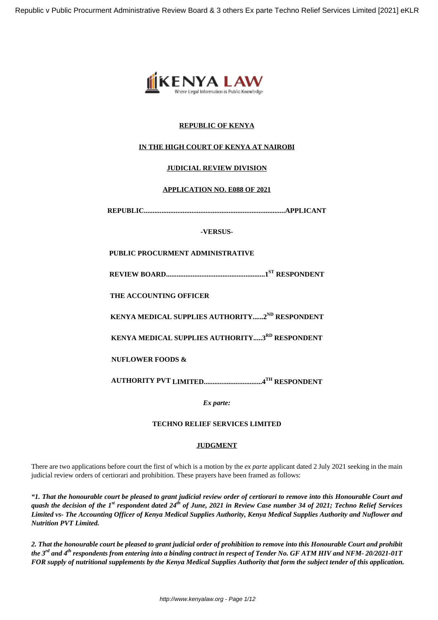

## **REPUBLIC OF KENYA**

# **IN THE HIGH COURT OF KENYA AT NAIROBI**

## **JUDICIAL REVIEW DIVISION**

## **APPLICATION NO. E088 OF 2021**

**REPUBLIC................................................................................APPLICANT**

**-VERSUS-**

**PUBLIC PROCURMENT ADMINISTRATIVE**

**REVIEW BOARD........................................................1ST RESPONDENT**

**THE ACCOUNTING OFFICER**

**KENYA MEDICAL SUPPLIES AUTHORITY......2ND RESPONDENT**

**KENYA MEDICAL SUPPLIES AUTHORITY.....3RD RESPONDENT**

**NUFLOWER FOODS &**

**AUTHORITY PVT LIMITED.................................4TH RESPONDENT**

*Ex parte:*

## **TECHNO RELIEF SERVICES LIMITED**

## **JUDGMENT**

There are two applications before court the first of which is a motion by the *ex parte* applicant dated 2 July 2021 seeking in the main judicial review orders of certiorari and prohibition. These prayers have been framed as follows:

*"1. That the honourable court be pleased to grant judicial review order of certiorari to remove into this Honourable Court and quash the decision of the 1st respondent dated 24th of June, 2021 in Review Case number 34 of 2021; Techno Relief Services Limited vs- The Accounting Officer of Kenya Medical Supplies Authority, Kenya Medical Supplies Authority and Nuflower and Nutrition PVT Limited.*

*2. That the honourable court be pleased to grant judicial order of prohibition to remove into this Honourable Court and prohibit the 3rd and 4th respondents from entering into a binding contract in respect of Tender No. GF ATM HIV and NFM- 20/2021-01T FOR supply of nutritional supplements by the Kenya Medical Supplies Authority that form the subject tender of this application.*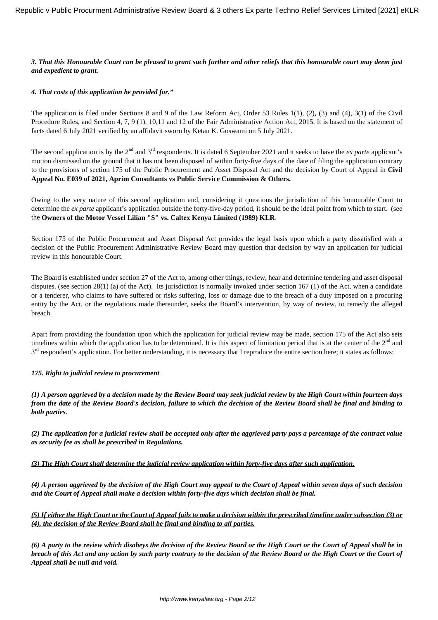#### *3. That this Honourable Court can be pleased to grant such further and other reliefs that this honourable court may deem just and expedient to grant.*

#### *4. That costs of this application be provided for."*

The application is filed under Sections 8 and 9 of the Law Reform Act, Order 53 Rules 1(1), (2), (3) and (4), 3(1) of the Civil Procedure Rules, and Section 4, 7, 9 (1), 10,11 and 12 of the Fair Administrative Action Act, 2015. It is based on the statement of facts dated 6 July 2021 verified by an affidavit sworn by Ketan K. Goswami on 5 July 2021.

The second application is by the 2<sup>nd</sup> and 3<sup>rd</sup> respondents. It is dated 6 September 2021 and it seeks to have the *ex parte* applicant's motion dismissed on the ground that it has not been disposed of within forty-five days of the date of filing the application contrary to the provisions of section 175 of the Public Procurement and Asset Disposal Act and the decision by Court of Appeal in **Civil Appeal No. E039 of 2021, Aprim Consultants vs Public Service Commission & Others.**

Owing to the very nature of this second application and, considering it questions the jurisdiction of this honourable Court to determine the *ex parte* applicant's application outside the forty-five-day period, it should be the ideal point from which to start. (see the **Owners of the Motor Vessel Lilian "S" vs. Caltex Kenya Limited (1989) KLR**.

Section 175 of the Public Procurement and Asset Disposal Act provides the legal basis upon which a party dissatisfied with a decision of the Public Procurement Administrative Review Board may question that decision by way an application for judicial review in this honourable Court.

The Board is established under section 27 of the Act to, among other things, review, hear and determine tendering and asset disposal disputes. (see section 28(1) (a) of the Act). Its jurisdiction is normally invoked under section 167 (1) of the Act, when a candidate or a tenderer, who claims to have suffered or risks suffering, loss or damage due to the breach of a duty imposed on a procuring entity by the Act, or the regulations made thereunder, seeks the Board's intervention, by way of review, to remedy the alleged breach.

Apart from providing the foundation upon which the application for judicial review may be made, section 175 of the Act also sets timelines within which the application has to be determined. It is this aspect of limitation period that is at the center of the  $2<sup>nd</sup>$  and 3<sup>rd</sup> respondent's application. For better understanding, it is necessary that I reproduce the entire section here; it states as follows:

#### *175. Right to judicial review to procurement*

*(1) A person aggrieved by a decision made by the Review Board may seek judicial review by the High Court within fourteen days from the date of the Review Board's decision, failure to which the decision of the Review Board shall be final and binding to both parties.*

*(2) The application for a judicial review shall be accepted only after the aggrieved party pays a percentage of the contract value as security fee as shall be prescribed in Regulations.* 

#### *(3) The High Court shall determine the judicial review application within forty-five days after such application.*

*(4) A person aggrieved by the decision of the High Court may appeal to the Court of Appeal within seven days of such decision and the Court of Appeal shall make a decision within forty-five days which decision shall be final.* 

*(5) If either the High Court or the Court of Appeal fails to make a decision within the prescribed timeline under subsection (3) or (4), the decision of the Review Board shall be final and binding to all parties.*

*(6) A party to the review which disobeys the decision of the Review Board or the High Court or the Court of Appeal shall be in breach of this Act and any action by such party contrary to the decision of the Review Board or the High Court or the Court of Appeal shall be null and void.*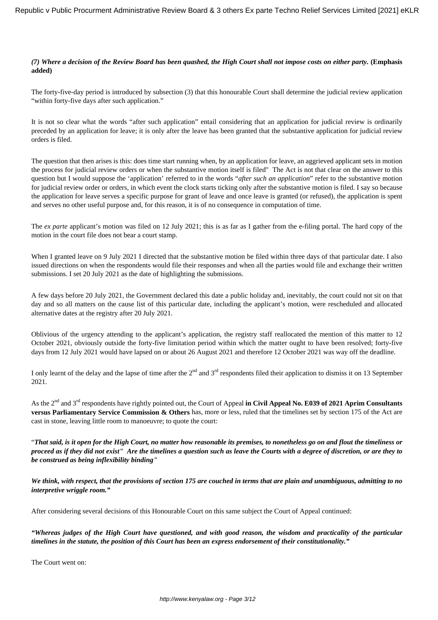#### *(7) Where a decision of the Review Board has been quashed, the High Court shall not impose costs on either party.* **(Emphasis added)**

The forty-five-day period is introduced by subsection (3) that this honourable Court shall determine the judicial review application "within forty-five days after such application."

It is not so clear what the words "after such application" entail considering that an application for judicial review is ordinarily preceded by an application for leave; it is only after the leave has been granted that the substantive application for judicial review orders is filed.

The question that then arises is this: does time start running when, by an application for leave, an aggrieved applicant sets in motion the process for judicial review orders or when the substantive motion itself is filed" The Act is not that clear on the answer to this question but I would suppose the 'application' referred to in the words "*after such an application*" refer to the substantive motion for judicial review order or orders, in which event the clock starts ticking only after the substantive motion is filed. I say so because the application for leave serves a specific purpose for grant of leave and once leave is granted (or refused), the application is spent and serves no other useful purpose and, for this reason, it is of no consequence in computation of time.

The *ex parte* applicant's motion was filed on 12 July 2021; this is as far as I gather from the e-filing portal. The hard copy of the motion in the court file does not bear a court stamp.

When I granted leave on 9 July 2021 I directed that the substantive motion be filed within three days of that particular date. I also issued directions on when the respondents would file their responses and when all the parties would file and exchange their written submissions. I set 20 July 2021 as the date of highlighting the submissions.

A few days before 20 July 2021, the Government declared this date a public holiday and, inevitably, the court could not sit on that day and so all matters on the cause list of this particular date, including the applicant's motion, were rescheduled and allocated alternative dates at the registry after 20 July 2021.

Oblivious of the urgency attending to the applicant's application, the registry staff reallocated the mention of this matter to 12 October 2021, obviously outside the forty-five limitation period within which the matter ought to have been resolved; forty-five days from 12 July 2021 would have lapsed on or about 26 August 2021 and therefore 12 October 2021 was way off the deadline.

I only learnt of the delay and the lapse of time after the  $2<sup>nd</sup>$  and  $3<sup>rd</sup>$  respondents filed their application to dismiss it on 13 September 2021.

As the 2nd and 3rd respondents have rightly pointed out, the Court of Appeal **in Civil Appeal No. E039 of 2021 Aprim Consultants versus Parliamentary Service Commission & Others** has, more or less, ruled that the timelines set by section 175 of the Act are cast in stone, leaving little room to manoeuvre; to quote the court:

"*That said, is it open for the High Court, no matter how reasonable its premises, to nonetheless go on and flout the timeliness or proceed as if they did not exist" Are the timelines a question such as leave the Courts with a degree of discretion, or are they to be construed as being inflexibility binding"* 

*We think, with respect, that the provisions of section 175 are couched in terms that are plain and unambiguous, admitting to no interpretive wriggle room."*

After considering several decisions of this Honourable Court on this same subject the Court of Appeal continued:

*"Whereas judges of the High Court have questioned, and with good reason, the wisdom and practicality of the particular timelines in the statute, the position of this Court has been an express endorsement of their constitutionality."* 

The Court went on: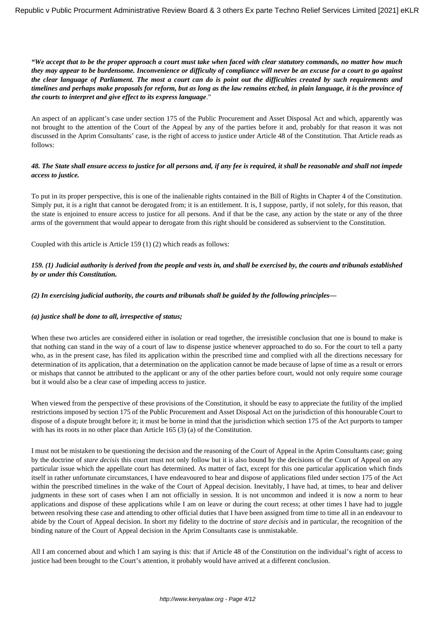*"We accept that to be the proper approach a court must take when faced with clear statutory commands, no matter how much they may appear to be burdensome. Inconvenience or difficulty of compliance will never be an excuse for a court to go against the clear language of Parliament. The most a court can do is point out the difficulties created by such requirements and timelines and perhaps make proposals for reform, but as long as the law remains etched, in plain language, it is the province of the courts to interpret and give effect to its express language*."

An aspect of an applicant's case under section 175 of the Public Procurement and Asset Disposal Act and which, apparently was not brought to the attention of the Court of the Appeal by any of the parties before it and, probably for that reason it was not discussed in the Aprim Consultants' case, is the right of access to justice under Article 48 of the Constitution. That Article reads as follows:

### *48. The State shall ensure access to justice for all persons and, if any fee is required, it shall be reasonable and shall not impede access to justice.*

To put in its proper perspective, this is one of the inalienable rights contained in the Bill of Rights in Chapter 4 of the Constitution. Simply put, it is a right that cannot be derogated from; it is an entitlement. It is, I suppose, partly, if not solely, for this reason, that the state is enjoined to ensure access to justice for all persons. And if that be the case, any action by the state or any of the three arms of the government that would appear to derogate from this right should be considered as subservient to the Constitution.

Coupled with this article is Article 159 (1) (2) which reads as follows:

## *159. (1) Judicial authority is derived from the people and vests in, and shall be exercised by, the courts and tribunals established by or under this Constitution.*

#### *(2) In exercising judicial authority, the courts and tribunals shall be guided by the following principles—*

#### *(a) justice shall be done to all, irrespective of status;*

When these two articles are considered either in isolation or read together, the irresistible conclusion that one is bound to make is that nothing can stand in the way of a court of law to dispense justice whenever approached to do so. For the court to tell a party who, as in the present case, has filed its application within the prescribed time and complied with all the directions necessary for determination of its application, that a determination on the application cannot be made because of lapse of time as a result or errors or mishaps that cannot be attributed to the applicant or any of the other parties before court, would not only require some courage but it would also be a clear case of impeding access to justice.

When viewed from the perspective of these provisions of the Constitution, it should be easy to appreciate the futility of the implied restrictions imposed by section 175 of the Public Procurement and Asset Disposal Act on the jurisdiction of this honourable Court to dispose of a dispute brought before it; it must be borne in mind that the jurisdiction which section 175 of the Act purports to tamper with has its roots in no other place than Article 165 (3) (a) of the Constitution.

I must not be mistaken to be questioning the decision and the reasoning of the Court of Appeal in the Aprim Consultants case; going by the doctrine of *stare decisis* this court must not only follow but it is also bound by the decisions of the Court of Appeal on any particular issue which the appellate court has determined. As matter of fact, except for this one particular application which finds itself in rather unfortunate circumstances, I have endeavoured to hear and dispose of applications filed under section 175 of the Act within the prescribed timelines in the wake of the Court of Appeal decision. Inevitably, I have had, at times, to hear and deliver judgments in these sort of cases when I am not officially in session. It is not uncommon and indeed it is now a norm to hear applications and dispose of these applications while I am on leave or during the court recess; at other times I have had to juggle between resolving these case and attending to other official duties that I have been assigned from time to time all in an endeavour to abide by the Court of Appeal decision. In short my fidelity to the doctrine of *stare decisis* and in particular, the recognition of the binding nature of the Court of Appeal decision in the Aprim Consultants case is unmistakable.

All I am concerned about and which I am saying is this: that if Article 48 of the Constitution on the individual's right of access to justice had been brought to the Court's attention, it probably would have arrived at a different conclusion.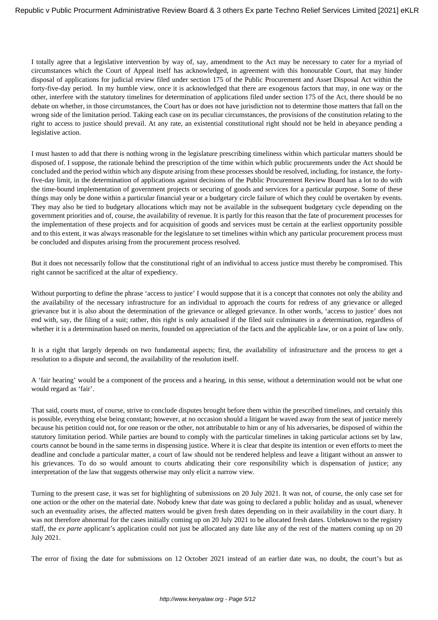I totally agree that a legislative intervention by way of, say, amendment to the Act may be necessary to cater for a myriad of circumstances which the Court of Appeal itself has acknowledged, in agreement with this honourable Court, that may hinder disposal of applications for judicial review filed under section 175 of the Public Procurement and Asset Disposal Act within the forty-five-day period. In my humble view, once it is acknowledged that there are exogenous factors that may, in one way or the other, interfere with the statutory timelines for determination of applications filed under section 175 of the Act, there should be no debate on whether, in those circumstances, the Court has or does not have jurisdiction not to determine those matters that fall on the wrong side of the limitation period. Taking each case on its peculiar circumstances, the provisions of the constitution relating to the right to access to justice should prevail. At any rate, an existential constitutional right should not be held in abeyance pending a legislative action.

I must hasten to add that there is nothing wrong in the legislature prescribing timeliness within which particular matters should be disposed of. I suppose, the rationale behind the prescription of the time within which public procurements under the Act should be concluded and the period within which any dispute arising from these processes should be resolved, including, for instance, the fortyfive-day limit, in the determination of applications against decisions of the Public Procurement Review Board has a lot to do with the time-bound implementation of government projects or securing of goods and services for a particular purpose. Some of these things may only be done within a particular financial year or a budgetary circle failure of which they could be overtaken by events. They may also be tied to budgetary allocations which may not be available in the subsequent budgetary cycle depending on the government priorities and of, course, the availability of revenue. It is partly for this reason that the fate of procurement processes for the implementation of these projects and for acquisition of goods and services must be certain at the earliest opportunity possible and to this extent, it was always reasonable for the legislature to set timelines within which any particular procurement process must be concluded and disputes arising from the procurement process resolved.

But it does not necessarily follow that the constitutional right of an individual to access justice must thereby be compromised. This right cannot be sacrificed at the altar of expediency.

Without purporting to define the phrase 'access to justice' I would suppose that it is a concept that connotes not only the ability and the availability of the necessary infrastructure for an individual to approach the courts for redress of any grievance or alleged grievance but it is also about the determination of the grievance or alleged grievance. In other words, 'access to justice' does not end with, say, the filing of a suit; rather, this right is only actualised if the filed suit culminates in a determination, regardless of whether it is a determination based on merits, founded on appreciation of the facts and the applicable law, or on a point of law only.

It is a right that largely depends on two fundamental aspects; first, the availability of infrastructure and the process to get a resolution to a dispute and second, the availability of the resolution itself.

A 'fair hearing' would be a component of the process and a hearing, in this sense, without a determination would not be what one would regard as 'fair'.

That said, courts must, of course, strive to conclude disputes brought before them within the prescribed timelines, and certainly this is possible, everything else being constant; however, at no occasion should a litigant be waved away from the seat of justice merely because his petition could not, for one reason or the other, not attributable to him or any of his adversaries, be disposed of within the statutory limitation period. While parties are bound to comply with the particular timelines in taking particular actions set by law, courts cannot be bound in the same terms in dispensing justice. Where it is clear that despite its intention or even efforts to meet the deadline and conclude a particular matter, a court of law should not be rendered helpless and leave a litigant without an answer to his grievances. To do so would amount to courts abdicating their core responsibility which is dispensation of justice; any interpretation of the law that suggests otherwise may only elicit a narrow view.

Turning to the present case, it was set for highlighting of submissions on 20 July 2021. It was not, of course, the only case set for one action or the other on the material date. Nobody knew that date was going to declared a public holiday and as usual, whenever such an eventuality arises, the affected matters would be given fresh dates depending on in their availability in the court diary. It was not therefore abnormal for the cases initially coming up on 20 July 2021 to be allocated fresh dates. Unbeknown to the registry staff, the *ex parte* applicant's application could not just be allocated any date like any of the rest of the matters coming up on 20 July 2021.

The error of fixing the date for submissions on 12 October 2021 instead of an earlier date was, no doubt, the court's but as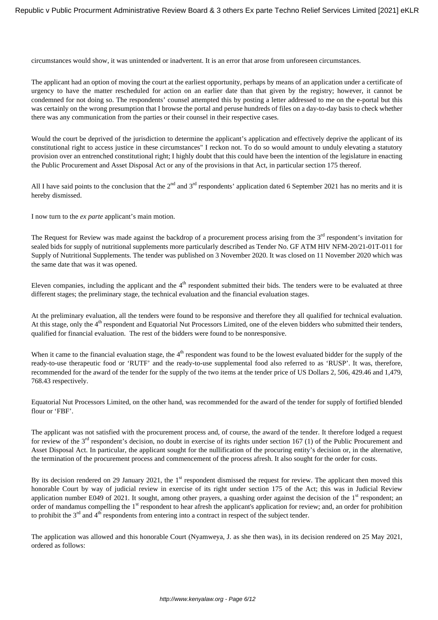circumstances would show, it was unintended or inadvertent. It is an error that arose from unforeseen circumstances.

The applicant had an option of moving the court at the earliest opportunity, perhaps by means of an application under a certificate of urgency to have the matter rescheduled for action on an earlier date than that given by the registry; however, it cannot be condemned for not doing so. The respondents' counsel attempted this by posting a letter addressed to me on the e-portal but this was certainly on the wrong presumption that I browse the portal and peruse hundreds of files on a day-to-day basis to check whether there was any communication from the parties or their counsel in their respective cases.

Would the court be deprived of the jurisdiction to determine the applicant's application and effectively deprive the applicant of its constitutional right to access justice in these circumstances" I reckon not. To do so would amount to unduly elevating a statutory provision over an entrenched constitutional right; I highly doubt that this could have been the intention of the legislature in enacting the Public Procurement and Asset Disposal Act or any of the provisions in that Act, in particular section 175 thereof.

All I have said points to the conclusion that the  $2^{nd}$  and  $3^{rd}$  respondents' application dated 6 September 2021 has no merits and it is hereby dismissed.

I now turn to the *ex parte* applicant's main motion.

The Request for Review was made against the backdrop of a procurement process arising from the  $3<sup>rd</sup>$  respondent's invitation for sealed bids for supply of nutritional supplements more particularly described as Tender No. GF ATM HIV NFM-20/21-01T-011 for Supply of Nutritional Supplements. The tender was published on 3 November 2020. It was closed on 11 November 2020 which was the same date that was it was opened.

Eleven companies, including the applicant and the  $4<sup>th</sup>$  respondent submitted their bids. The tenders were to be evaluated at three different stages; the preliminary stage, the technical evaluation and the financial evaluation stages.

At the preliminary evaluation, all the tenders were found to be responsive and therefore they all qualified for technical evaluation. At this stage, only the 4<sup>th</sup> respondent and Equatorial Nut Processors Limited, one of the eleven bidders who submitted their tenders, qualified for financial evaluation. The rest of the bidders were found to be nonresponsive.

When it came to the financial evaluation stage, the  $4<sup>th</sup>$  respondent was found to be the lowest evaluated bidder for the supply of the ready-to-use therapeutic food or 'RUTF' and the ready-to-use supplemental food also referred to as 'RUSP'. It was, therefore, recommended for the award of the tender for the supply of the two items at the tender price of US Dollars 2, 506, 429.46 and 1,479, 768.43 respectively.

Equatorial Nut Processors Limited, on the other hand, was recommended for the award of the tender for supply of fortified blended flour or 'FBF'.

The applicant was not satisfied with the procurement process and, of course, the award of the tender. It therefore lodged a request for review of the  $3<sup>rd</sup>$  respondent's decision, no doubt in exercise of its rights under section 167 (1) of the Public Procurement and Asset Disposal Act. In particular, the applicant sought for the nullification of the procuring entity's decision or, in the alternative, the termination of the procurement process and commencement of the process afresh. It also sought for the order for costs.

By its decision rendered on 29 January 2021, the  $1<sup>st</sup>$  respondent dismissed the request for review. The applicant then moved this honorable Court by way of judicial review in exercise of its right under section 175 of the Act; this was in Judicial Review application number E049 of 2021. It sought, among other prayers, a quashing order against the decision of the  $1<sup>st</sup>$  respondent; an order of mandamus compelling the 1<sup>st</sup> respondent to hear afresh the applicant's application for review; and, an order for prohibition to prohibit the 3<sup>rd</sup> and 4<sup>th</sup> respondents from entering into a contract in respect of the subject tender.

The application was allowed and this honorable Court (Nyamweya, J. as she then was), in its decision rendered on 25 May 2021, ordered as follows: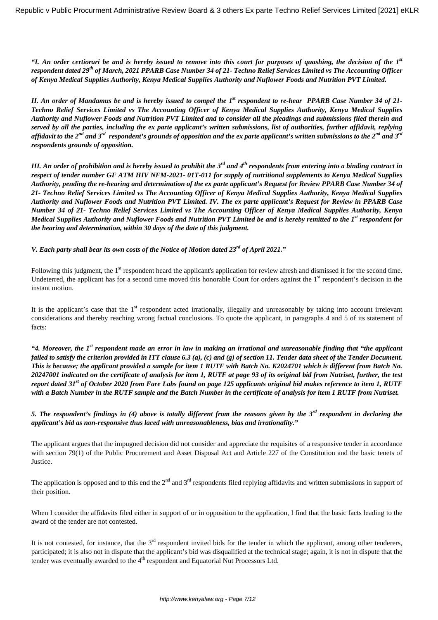*"I. An order certiorari be and is hereby issued to remove into this court for purposes of quashing, the decision of the 1st respondent dated 29th of March, 2021 PPARB Case Number 34 of 21- Techno Relief Services Limited vs The Accounting Officer of Kenya Medical Supplies Authority, Kenya Medical Supplies Authority and Nuflower Foods and Nutrition PVT Limited.*

*II. An order of Mandamus be and is hereby issued to compel the 1st respondent to re-hear PPARB Case Number 34 of 21- Techno Relief Services Limited vs The Accounting Officer of Kenya Medical Supplies Authority, Kenya Medical Supplies Authority and Nuflower Foods and Nutrition PVT Limited and to consider all the pleadings and submissions filed therein and served by all the parties, including the ex parte applicant's written submissions, list of authorities, further affidavit, replying affidavit to the 2nd and 3rd respondent's grounds of opposition and the ex parte applicant's written submissions to the 2nd and 3rd respondents grounds of opposition.*

*III. An order of prohibition and is hereby issued to prohibit the 3rd and 4th respondents from entering into a binding contract in respect of tender number GF ATM HIV NFM-2021- 01T-011 for supply of nutritional supplements to Kenya Medical Supplies Authority, pending the re-hearing and determination of the ex parte applicant's Request for Review PPARB Case Number 34 of 21- Techno Relief Services Limited vs The Accounting Officer of Kenya Medical Supplies Authority, Kenya Medical Supplies Authority and Nuflower Foods and Nutrition PVT Limited. IV. The ex parte applicant's Request for Review in PPARB Case Number 34 of 21- Techno Relief Services Limited vs The Accounting Officer of Kenya Medical Supplies Authority, Kenya Medical Supplies Authority and Nuflower Foods and Nutrition PVT Limited be and is hereby remitted to the 1st respondent for the hearing and determination, within 30 days of the date of this judgment.*

*V. Each party shall bear its own costs of the Notice of Motion dated 23rd of April 2021."*

Following this judgment, the 1<sup>st</sup> respondent heard the applicant's application for review afresh and dismissed it for the second time. Undeterred, the applicant has for a second time moved this honorable Court for orders against the  $1<sup>st</sup>$  respondent's decision in the instant motion.

It is the applicant's case that the  $1<sup>st</sup>$  respondent acted irrationally, illegally and unreasonably by taking into account irrelevant considerations and thereby reaching wrong factual conclusions. To quote the applicant, in paragraphs 4 and 5 of its statement of facts:

*"4. Moreover, the 1st respondent made an error in law in making an irrational and unreasonable finding that "the applicant failed to satisfy the criterion provided in ITT clause 6.3 (a), (c) and (g) of section 11. Tender data sheet of the Tender Document. This is because; the applicant provided a sample for item 1 RUTF with Batch No. K2024701 which is different from Batch No. 20247001 indicated on the certificate of analysis for item 1, RUTF at page 93 of its original bid from Nutriset, further, the test report dated 31st of October 2020 from Fare Labs found on page 125 applicants original bid makes reference to item 1, RUTF with a Batch Number in the RUTF sample and the Batch Number in the certificate of analysis for item 1 RUTF from Nutriset.*

*5. The respondent's findings in (4) above is totally different from the reasons given by the 3rd respondent in declaring the applicant's bid as non-responsive thus laced with unreasonableness, bias and irrationality."* 

The applicant argues that the impugned decision did not consider and appreciate the requisites of a responsive tender in accordance with section 79(1) of the Public Procurement and Asset Disposal Act and Article 227 of the Constitution and the basic tenets of Justice.

The application is opposed and to this end the  $2^{nd}$  and  $3^{rd}$  respondents filed replying affidavits and written submissions in support of their position.

When I consider the affidavits filed either in support of or in opposition to the application. I find that the basic facts leading to the award of the tender are not contested.

It is not contested, for instance, that the  $3<sup>rd</sup>$  respondent invited bids for the tender in which the applicant, among other tenderers, participated; it is also not in dispute that the applicant's bid was disqualified at the technical stage; again, it is not in dispute that the tender was eventually awarded to the 4<sup>th</sup> respondent and Equatorial Nut Processors Ltd.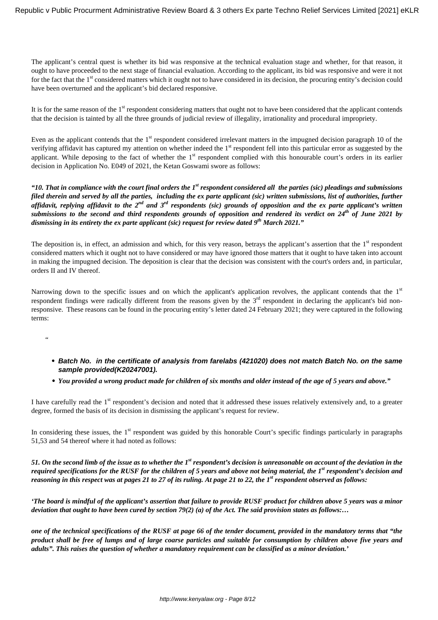The applicant's central quest is whether its bid was responsive at the technical evaluation stage and whether, for that reason, it ought to have proceeded to the next stage of financial evaluation. According to the applicant, its bid was responsive and were it not for the fact that the 1<sup>st</sup> considered matters which it ought not to have considered in its decision, the procuring entity's decision could have been overturned and the applicant's bid declared responsive.

It is for the same reason of the 1<sup>st</sup> respondent considering matters that ought not to have been considered that the applicant contends that the decision is tainted by all the three grounds of judicial review of illegality, irrationality and procedural impropriety.

Even as the applicant contends that the 1<sup>st</sup> respondent considered irrelevant matters in the impugned decision paragraph 10 of the verifying affidavit has captured my attention on whether indeed the  $1<sup>st</sup>$  respondent fell into this particular error as suggested by the applicant. While deposing to the fact of whether the 1<sup>st</sup> respondent complied with this honourable court's orders in its earlier decision in Application No. E049 of 2021, the Ketan Goswami swore as follows:

*"10. That in compliance with the court final orders the 1st respondent considered all the parties (sic) pleadings and submissions filed therein and served by all the parties, including the ex parte applicant (sic) written submissions, list of authorities, further affidavit, replying affidavit to the 2nd and 3rd respondents (sic) grounds of opposition and the ex parte applicant's written submissions to the second and third respondents grounds of opposition and rendered its verdict on 24th of June 2021 by dismissing in its entirety the ex parte applicant (sic) request for review dated 9th March 2021."*

The deposition is, in effect, an admission and which, for this very reason, betrays the applicant's assertion that the 1<sup>st</sup> respondent considered matters which it ought not to have considered or may have ignored those matters that it ought to have taken into account in making the impugned decision. The deposition is clear that the decision was consistent with the court's orders and, in particular, orders II and IV thereof.

Narrowing down to the specific issues and on which the applicant's application revolves, the applicant contends that the  $1<sup>st</sup>$ respondent findings were radically different from the reasons given by the  $3<sup>rd</sup>$  respondent in declaring the applicant's bid nonresponsive. These reasons can be found in the procuring entity's letter dated 24 February 2021; they were captured in the following terms:

- "
	- **Batch No. in the certificate of analysis from farelabs (421020) does not match Batch No. on the same sample provided(K20247001).**
	- *You provided a wrong product made for children of six months and older instead of the age of 5 years and above."*

I have carefully read the 1<sup>st</sup> respondent's decision and noted that it addressed these issues relatively extensively and, to a greater degree, formed the basis of its decision in dismissing the applicant's request for review.

In considering these issues, the  $1<sup>st</sup>$  respondent was guided by this honorable Court's specific findings particularly in paragraphs 51,53 and 54 thereof where it had noted as follows:

*51. On the second limb of the issue as to whether the 1st respondent's decision is unreasonable on account of the deviation in the required specifications for the RUSF for the children of 5 years and above not being material, the 1st respondent's decision and reasoning in this respect was at pages 21 to 27 of its ruling. At page 21 to 22, the 1st respondent observed as follows:* 

*'The board is mindful of the applicant's assertion that failure to provide RUSF product for children above 5 years was a minor deviation that ought to have been cured by section 79(2) (a) of the Act. The said provision states as follows:…*

*one of the technical specifications of the RUSF at page 66 of the tender document, provided in the mandatory terms that "the product shall be free of lumps and of large coarse particles and suitable for consumption by children above five years and adults". This raises the question of whether a mandatory requirement can be classified as a minor deviation.'*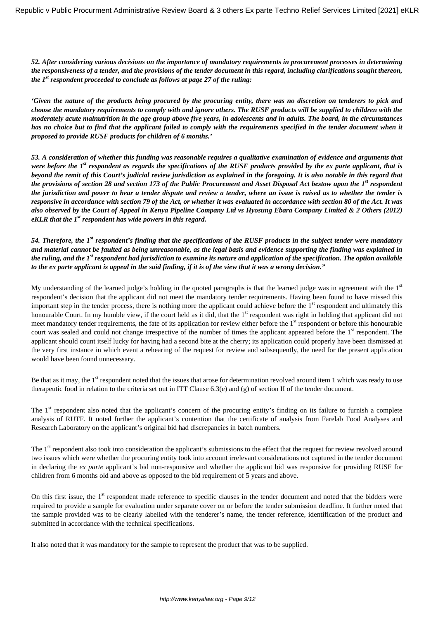*52. After considering various decisions on the importance of mandatory requirements in procurement processes in determining the responsiveness of a tender, and the provisions of the tender document in this regard, including clarifications sought thereon, the 1st respondent proceeded to conclude as follows at page 27 of the ruling:*

*'Given the nature of the products being procured by the procuring entity, there was no discretion on tenderers to pick and choose the mandatory requirements to comply with and ignore others. The RUSF products will be supplied to children with the moderately acute malnutrition in the age group above five years, in adolescents and in adults. The board, in the circumstances* has no choice but to find that the applicant failed to comply with the requirements specified in the tender document when it *proposed to provide RUSF products for children of 6 months.'*

*53. A consideration of whether this funding was reasonable requires a qualitative examination of evidence and arguments that were before the 1st respondent as regards the specifications of the RUSF products provided by the ex parte applicant, that is beyond the remit of this Court's judicial review jurisdiction as explained in the foregoing. It is also notable in this regard that the provisions of section 28 and section 173 of the Public Procurement and Asset Disposal Act bestow upon the 1st respondent the jurisdiction and power to hear a tender dispute and review a tender, where an issue is raised as to whether the tender is responsive in accordance with section 79 of the Act, or whether it was evaluated in accordance with section 80 of the Act. It was also observed by the Court of Appeal in Kenya Pipeline Company Ltd vs Hyosung Ebara Company Limited & 2 Others (2012) eKLR that the 1st respondent has wide powers in this regard.*

*54. Therefore, the 1st respondent's finding that the specifications of the RUSF products in the subject tender were mandatory and material cannot be faulted as being unreasonable, as the legal basis and evidence supporting the finding was explained in the ruling, and the 1st respondent had jurisdiction to examine its nature and application of the specification. The option available to the ex parte applicant is appeal in the said finding, if it is of the view that it was a wrong decision."*

My understanding of the learned judge's holding in the quoted paragraphs is that the learned judge was in agreement with the  $1<sup>st</sup>$ respondent's decision that the applicant did not meet the mandatory tender requirements. Having been found to have missed this important step in the tender process, there is nothing more the applicant could achieve before the  $1<sup>st</sup>$  respondent and ultimately this honourable Court. In my humble view, if the court held as it did, that the 1<sup>st</sup> respondent was right in holding that applicant did not meet mandatory tender requirements, the fate of its application for review either before the 1<sup>st</sup> respondent or before this honourable court was sealed and could not change irrespective of the number of times the applicant appeared before the 1<sup>st</sup> respondent. The applicant should count itself lucky for having had a second bite at the cherry; its application could properly have been dismissed at the very first instance in which event a rehearing of the request for review and subsequently, the need for the present application would have been found unnecessary.

Be that as it may, the 1<sup>st</sup> respondent noted that the issues that arose for determination revolved around item 1 which was ready to use therapeutic food in relation to the criteria set out in ITT Clause 6.3(e) and (g) of section II of the tender document.

The 1<sup>st</sup> respondent also noted that the applicant's concern of the procuring entity's finding on its failure to furnish a complete analysis of RUTF. It noted further the applicant's contention that the certificate of analysis from Farelab Food Analyses and Research Laboratory on the applicant's original bid had discrepancies in batch numbers.

The 1<sup>st</sup> respondent also took into consideration the applicant's submissions to the effect that the request for review revolved around two issues which were whether the procuring entity took into account irrelevant considerations not captured in the tender document in declaring the *ex parte* applicant's bid non-responsive and whether the applicant bid was responsive for providing RUSF for children from 6 months old and above as opposed to the bid requirement of 5 years and above.

On this first issue, the 1<sup>st</sup> respondent made reference to specific clauses in the tender document and noted that the bidders were required to provide a sample for evaluation under separate cover on or before the tender submission deadline. It further noted that the sample provided was to be clearly labelled with the tenderer's name, the tender reference, identification of the product and submitted in accordance with the technical specifications.

It also noted that it was mandatory for the sample to represent the product that was to be supplied.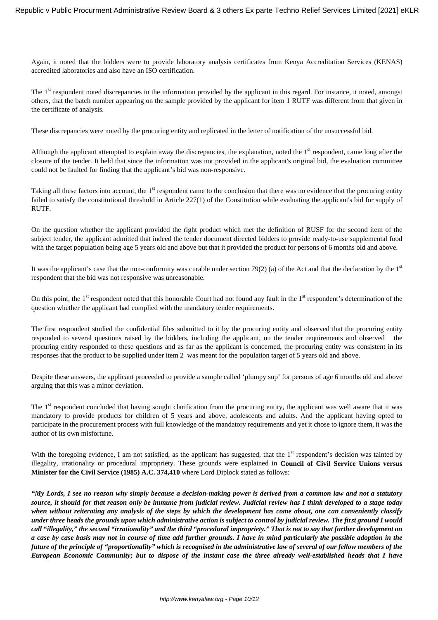Again, it noted that the bidders were to provide laboratory analysis certificates from Kenya Accreditation Services (KENAS) accredited laboratories and also have an ISO certification.

The 1<sup>st</sup> respondent noted discrepancies in the information provided by the applicant in this regard. For instance, it noted, amongst others, that the batch number appearing on the sample provided by the applicant for item 1 RUTF was different from that given in the certificate of analysis.

These discrepancies were noted by the procuring entity and replicated in the letter of notification of the unsuccessful bid.

Although the applicant attempted to explain away the discrepancies, the explanation, noted the  $1<sup>st</sup>$  respondent, came long after the closure of the tender. It held that since the information was not provided in the applicant's original bid, the evaluation committee could not be faulted for finding that the applicant's bid was non-responsive.

Taking all these factors into account, the 1<sup>st</sup> respondent came to the conclusion that there was no evidence that the procuring entity failed to satisfy the constitutional threshold in Article 227(1) of the Constitution while evaluating the applicant's bid for supply of RUTF.

On the question whether the applicant provided the right product which met the definition of RUSF for the second item of the subject tender, the applicant admitted that indeed the tender document directed bidders to provide ready-to-use supplemental food with the target population being age 5 years old and above but that it provided the product for persons of 6 months old and above.

It was the applicant's case that the non-conformity was curable under section 79(2) (a) of the Act and that the declaration by the  $1<sup>st</sup>$ respondent that the bid was not responsive was unreasonable.

On this point, the  $1<sup>st</sup>$  respondent noted that this honorable Court had not found any fault in the  $1<sup>st</sup>$  respondent's determination of the question whether the applicant had complied with the mandatory tender requirements.

The first respondent studied the confidential files submitted to it by the procuring entity and observed that the procuring entity responded to several questions raised by the bidders, including the applicant, on the tender requirements and observed the procuring entity responded to these questions and as far as the applicant is concerned, the procuring entity was consistent in its responses that the product to be supplied under item 2 was meant for the population target of 5 years old and above.

Despite these answers, the applicant proceeded to provide a sample called 'plumpy sup' for persons of age 6 months old and above arguing that this was a minor deviation.

The 1<sup>st</sup> respondent concluded that having sought clarification from the procuring entity, the applicant was well aware that it was mandatory to provide products for children of 5 years and above, adolescents and adults. And the applicant having opted to participate in the procurement process with full knowledge of the mandatory requirements and yet it chose to ignore them, it was the author of its own misfortune.

With the foregoing evidence, I am not satisfied, as the applicant has suggested, that the 1<sup>st</sup> respondent's decision was tainted by illegality, irrationality or procedural impropriety. These grounds were explained in **Council of Civil Service Unions versus Minister for the Civil Service (1985) A.C. 374,410** where Lord Diplock stated as follows:

*"My Lords, I see no reason why simply because a decision-making power is derived from a common law and not a statutory source, it should for that reason only be immune from judicial review. Judicial review has I think developed to a stage today when without reiterating any analysis of the steps by which the development has come about, one can conveniently classify under three heads the grounds upon which administrative action is subject to control by judicial review. The first ground I would call "illegality," the second "irrationality" and the third "procedural impropriety." That is not to say that further development on a case by case basis may not in course of time add further grounds. I have in mind particularly the possible adoption in the future of the principle of "proportionality" which is recognised in the administrative law of several of our fellow members of the European Economic Community; but to dispose of the instant case the three already well-established heads that I have*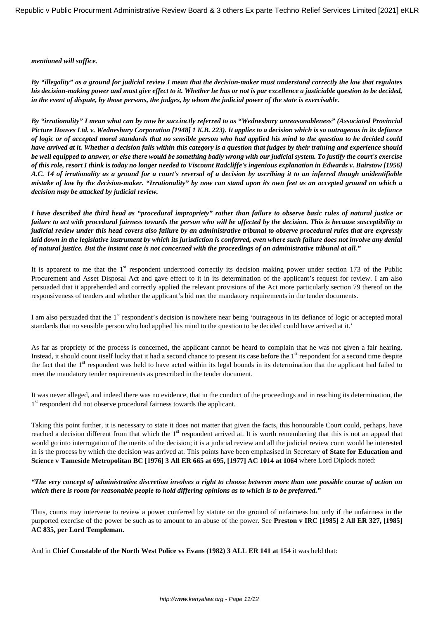#### *mentioned will suffice.*

*By "illegality" as a ground for judicial review I mean that the decision-maker must understand correctly the law that regulates his decision-making power and must give effect to it. Whether he has or not is par excellence a justiciable question to be decided, in the event of dispute, by those persons, the judges, by whom the judicial power of the state is exercisable.*

*By "irrationality" I mean what can by now be succinctly referred to as "Wednesbury unreasonableness" (Associated Provincial Picture Houses Ltd. v. Wednesbury Corporation [1948] 1 K.B. 223). It applies to a decision which is so outrageous in its defiance of logic or of accepted moral standards that no sensible person who had applied his mind to the question to be decided could have arrived at it. Whether a decision falls within this category is a question that judges by their training and experience should be well equipped to answer, or else there would be something badly wrong with our judicial system. To justify the court's exercise of this role, resort I think is today no longer needed to Viscount Radcliffe's ingenious explanation in Edwards v. Bairstow [1956] A.C. 14 of irrationality as a ground for a court's reversal of a decision by ascribing it to an inferred though unidentifiable mistake of law by the decision-maker. "Irrationality" by now can stand upon its own feet as an accepted ground on which a decision may be attacked by judicial review.*

*I have described the third head as "procedural impropriety" rather than failure to observe basic rules of natural justice or failure to act with procedural fairness towards the person who will be affected by the decision. This is because susceptibility to judicial review under this head covers also failure by an administrative tribunal to observe procedural rules that are expressly laid down in the legislative instrument by which its jurisdiction is conferred, even where such failure does not involve any denial of natural justice. But the instant case is not concerned with the proceedings of an administrative tribunal at all."* 

It is apparent to me that the  $1<sup>st</sup>$  respondent understood correctly its decision making power under section 173 of the Public Procurement and Asset Disposal Act and gave effect to it in its determination of the applicant's request for review. I am also persuaded that it apprehended and correctly applied the relevant provisions of the Act more particularly section 79 thereof on the responsiveness of tenders and whether the applicant's bid met the mandatory requirements in the tender documents.

I am also persuaded that the 1<sup>st</sup> respondent's decision is nowhere near being 'outrageous in its defiance of logic or accepted moral standards that no sensible person who had applied his mind to the question to be decided could have arrived at it.'

As far as propriety of the process is concerned, the applicant cannot be heard to complain that he was not given a fair hearing. Instead, it should count itself lucky that it had a second chance to present its case before the 1<sup>st</sup> respondent for a second time despite the fact that the 1<sup>st</sup> respondent was held to have acted within its legal bounds in its determination that the applicant had failed to meet the mandatory tender requirements as prescribed in the tender document.

It was never alleged, and indeed there was no evidence, that in the conduct of the proceedings and in reaching its determination, the 1<sup>st</sup> respondent did not observe procedural fairness towards the applicant.

Taking this point further, it is necessary to state it does not matter that given the facts, this honourable Court could, perhaps, have reached a decision different from that which the 1<sup>st</sup> respondent arrived at. It is worth remembering that this is not an appeal that would go into interrogation of the merits of the decision; it is a judicial review and all the judicial review court would be interested in is the process by which the decision was arrived at. This points have been emphasised in Secretary **of State for Education and Science v Tameside Metropolitan BC [1976] 3 All ER 665 at 695, [1977] AC 1014 at 1064** where Lord Diplock noted:

#### *"The very concept of administrative discretion involves a right to choose between more than one possible course of action on which there is room for reasonable people to hold differing opinions as to which is to be preferred."*

Thus, courts may intervene to review a power conferred by statute on the ground of unfairness but only if the unfairness in the purported exercise of the power be such as to amount to an abuse of the power. See **Preston v IRC [1985] 2 All ER 327, [1985] AC 835, per Lord Templeman.**

And in **Chief Constable of the North West Police vs Evans (1982) 3 ALL ER 141 at 154** it was held that: